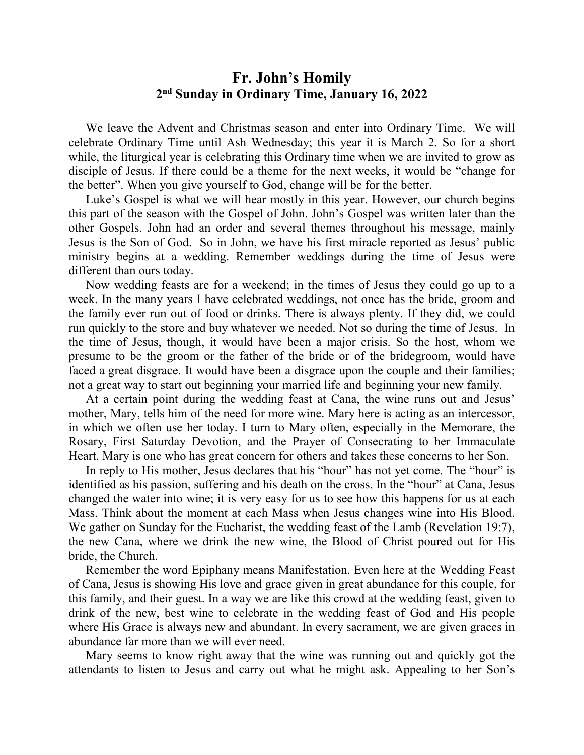## **Fr. John's Homily 2 nd Sunday in Ordinary Time, January 16, 2022**

 We leave the Advent and Christmas season and enter into Ordinary Time. We will celebrate Ordinary Time until Ash Wednesday; this year it is March 2. So for a short while, the liturgical year is celebrating this Ordinary time when we are invited to grow as disciple of Jesus. If there could be a theme for the next weeks, it would be "change for the better". When you give yourself to God, change will be for the better.

 Luke's Gospel is what we will hear mostly in this year. However, our church begins this part of the season with the Gospel of John. John's Gospel was written later than the other Gospels. John had an order and several themes throughout his message, mainly Jesus is the Son of God. So in John, we have his first miracle reported as Jesus' public ministry begins at a wedding. Remember weddings during the time of Jesus were different than ours today.

 Now wedding feasts are for a weekend; in the times of Jesus they could go up to a week. In the many years I have celebrated weddings, not once has the bride, groom and the family ever run out of food or drinks. There is always plenty. If they did, we could run quickly to the store and buy whatever we needed. Not so during the time of Jesus. In the time of Jesus, though, it would have been a major crisis. So the host, whom we presume to be the groom or the father of the bride or of the bridegroom, would have faced a great disgrace. It would have been a disgrace upon the couple and their families; not a great way to start out beginning your married life and beginning your new family.

 At a certain point during the wedding feast at Cana, the wine runs out and Jesus' mother, Mary, tells him of the need for more wine. Mary here is acting as an intercessor, in which we often use her today. I turn to Mary often, especially in the Memorare, the Rosary, First Saturday Devotion, and the Prayer of Consecrating to her Immaculate Heart. Mary is one who has great concern for others and takes these concerns to her Son.

In reply to His mother, Jesus declares that his "hour" has not yet come. The "hour" is identified as his passion, suffering and his death on the cross. In the "hour" at Cana, Jesus changed the water into wine; it is very easy for us to see how this happens for us at each Mass. Think about the moment at each Mass when Jesus changes wine into His Blood. We gather on Sunday for the Eucharist, the wedding feast of the Lamb (Revelation 19:7), the new Cana, where we drink the new wine, the Blood of Christ poured out for His bride, the Church.

 Remember the word Epiphany means Manifestation. Even here at the Wedding Feast of Cana, Jesus is showing His love and grace given in great abundance for this couple, for this family, and their guest. In a way we are like this crowd at the wedding feast, given to drink of the new, best wine to celebrate in the wedding feast of God and His people where His Grace is always new and abundant. In every sacrament, we are given graces in abundance far more than we will ever need.

 Mary seems to know right away that the wine was running out and quickly got the attendants to listen to Jesus and carry out what he might ask. Appealing to her Son's